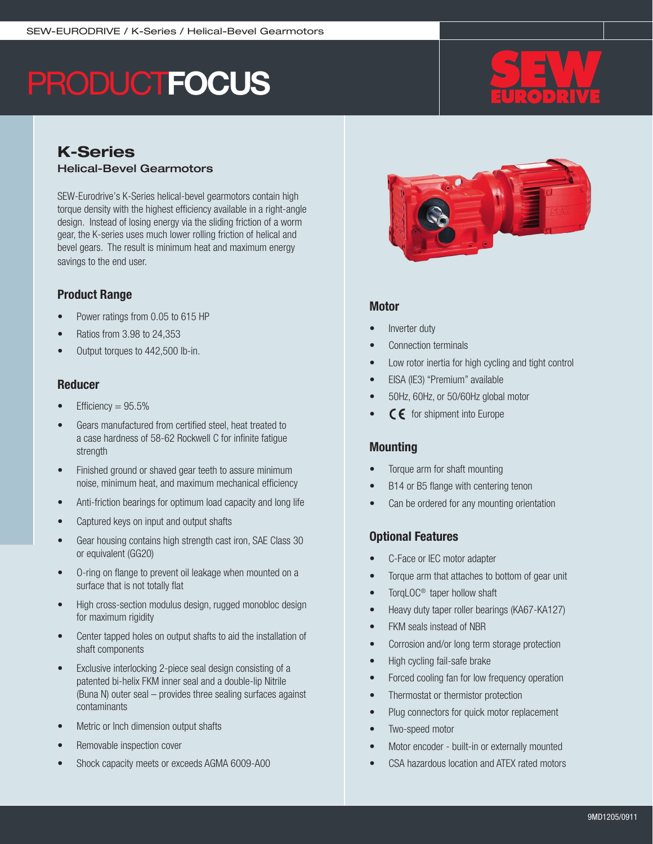# **PRODUCTFOCUS**

# K-Series Helical-Bevel Gearmotors

SEW-Eurodrive's K-Series helical-bevel gearmotors contain high torque density with the highest efficiency available in a right-angle design. Instead of losing energy via the sliding friction of a worm gear, the K-series uses much lower rolling friction of helical and bevel gears. The result is minimum heat and maximum energy savings to the end user.

# Product Range

- Power ratings from 0.05 to 615 HP
- Ratios from 3.98 to 24,353
- Output torques to 442,500 lb-in.

### Reducer

- Efficiency  $= 95.5\%$
- Gears manufactured from certified steel, heat treated to a case hardness of 58-62 Rockwell C for infinite fatigue strength
- Finished ground or shaved gear teeth to assure minimum noise, minimum heat, and maximum mechanical efficiency
- Anti-friction bearings for optimum load capacity and long life
- Captured keys on input and output shafts
- Gear housing contains high strength cast iron, SAE Class 30 or equivalent (GG20)
- O-ring on flange to prevent oil leakage when mounted on a surface that is not totally flat
- High cross-section modulus design, rugged monobloc design for maximum rigidity
- Center tapped holes on output shafts to aid the installation of shaft components
- Exclusive interlocking 2-piece seal design consisting of a patented bi-helix FKM inner seal and a double-lip Nitrile (Buna N) outer seal – provides three sealing surfaces against contaminants
- Metric or Inch dimension output shafts
- Removable inspection cover
- Shock capacity meets or exceeds AGMA 6009-A00



### **Motor**

- Inverter duty
- Connection terminals
- Low rotor inertia for high cycling and tight control
- EISA (IE3) "Premium" available
- 50Hz, 60Hz, or 50/60Hz global motor
- $\mathsf{\subset}\mathsf{\epsilon}\,$  for shipment into Europe

## **Mounting**

- Torque arm for shaft mounting
- B14 or B5 flange with centering tenon
- Can be ordered for any mounting orientation

## Optional Features

- C-Face or IEC motor adapter
- Torque arm that attaches to bottom of gear unit
- TorqLOC<sup>®</sup> taper hollow shaft
- Heavy duty taper roller bearings (KA67-KA127)
- **FKM** seals instead of NBR
- Corrosion and/or long term storage protection
- High cycling fail-safe brake
- Forced cooling fan for low frequency operation
- Thermostat or thermistor protection
- Plug connectors for quick motor replacement
- Two-speed motor
- Motor encoder built-in or externally mounted
- CSA hazardous location and ATEX rated motors